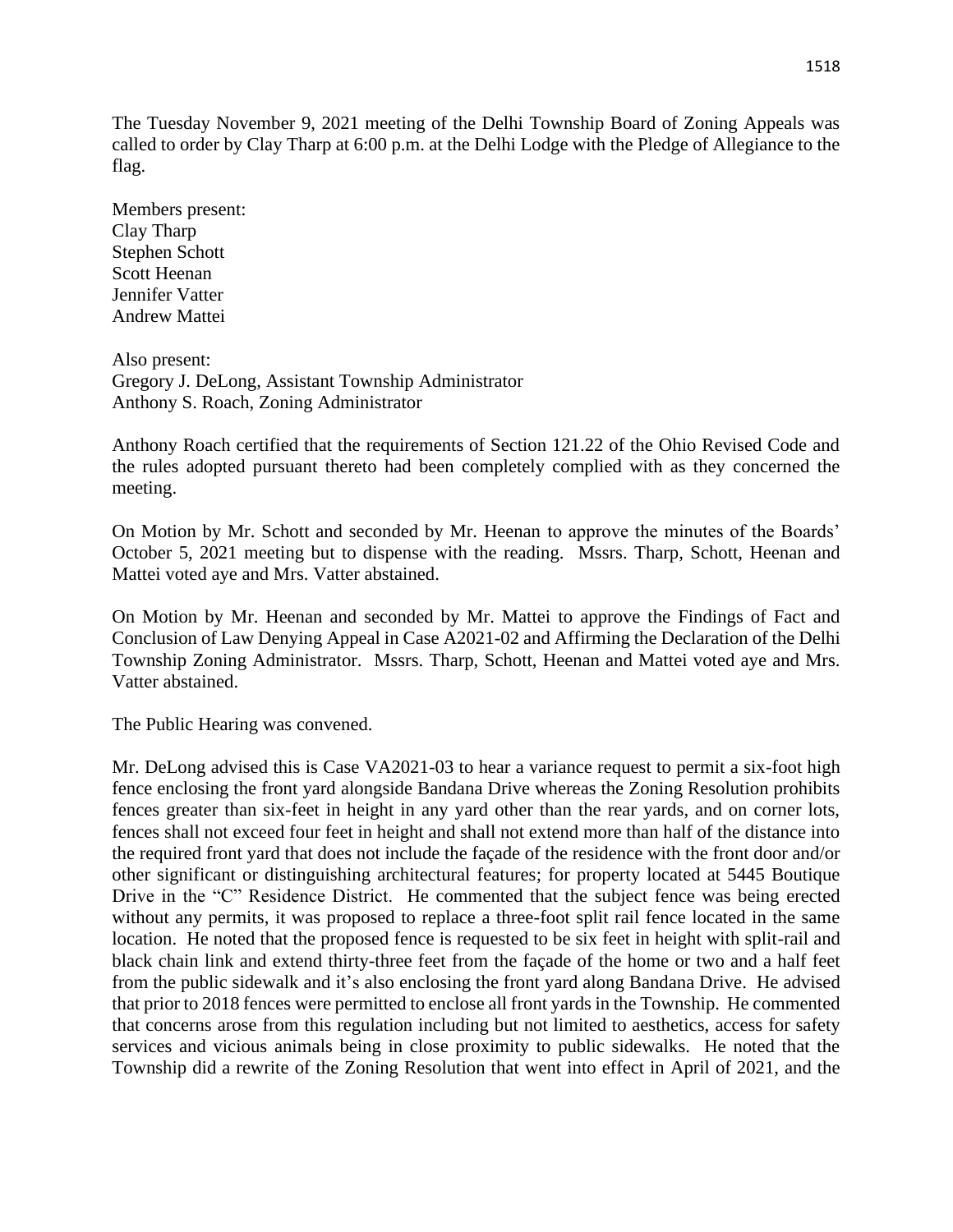The Tuesday November 9, 2021 meeting of the Delhi Township Board of Zoning Appeals was called to order by Clay Tharp at 6:00 p.m. at the Delhi Lodge with the Pledge of Allegiance to the flag.

Members present: Clay Tharp Stephen Schott Scott Heenan Jennifer Vatter Andrew Mattei

Also present: Gregory J. DeLong, Assistant Township Administrator Anthony S. Roach, Zoning Administrator

Anthony Roach certified that the requirements of Section 121.22 of the Ohio Revised Code and the rules adopted pursuant thereto had been completely complied with as they concerned the meeting.

On Motion by Mr. Schott and seconded by Mr. Heenan to approve the minutes of the Boards' October 5, 2021 meeting but to dispense with the reading. Mssrs. Tharp, Schott, Heenan and Mattei voted aye and Mrs. Vatter abstained.

On Motion by Mr. Heenan and seconded by Mr. Mattei to approve the Findings of Fact and Conclusion of Law Denying Appeal in Case A2021-02 and Affirming the Declaration of the Delhi Township Zoning Administrator. Mssrs. Tharp, Schott, Heenan and Mattei voted aye and Mrs. Vatter abstained.

The Public Hearing was convened.

Mr. DeLong advised this is Case VA2021-03 to hear a variance request to permit a six-foot high fence enclosing the front yard alongside Bandana Drive whereas the Zoning Resolution prohibits fences greater than six-feet in height in any yard other than the rear yards, and on corner lots, fences shall not exceed four feet in height and shall not extend more than half of the distance into the required front yard that does not include the façade of the residence with the front door and/or other significant or distinguishing architectural features; for property located at 5445 Boutique Drive in the "C" Residence District. He commented that the subject fence was being erected without any permits, it was proposed to replace a three-foot split rail fence located in the same location. He noted that the proposed fence is requested to be six feet in height with split-rail and black chain link and extend thirty-three feet from the façade of the home or two and a half feet from the public sidewalk and it's also enclosing the front yard along Bandana Drive. He advised that prior to 2018 fences were permitted to enclose all front yards in the Township. He commented that concerns arose from this regulation including but not limited to aesthetics, access for safety services and vicious animals being in close proximity to public sidewalks. He noted that the Township did a rewrite of the Zoning Resolution that went into effect in April of 2021, and the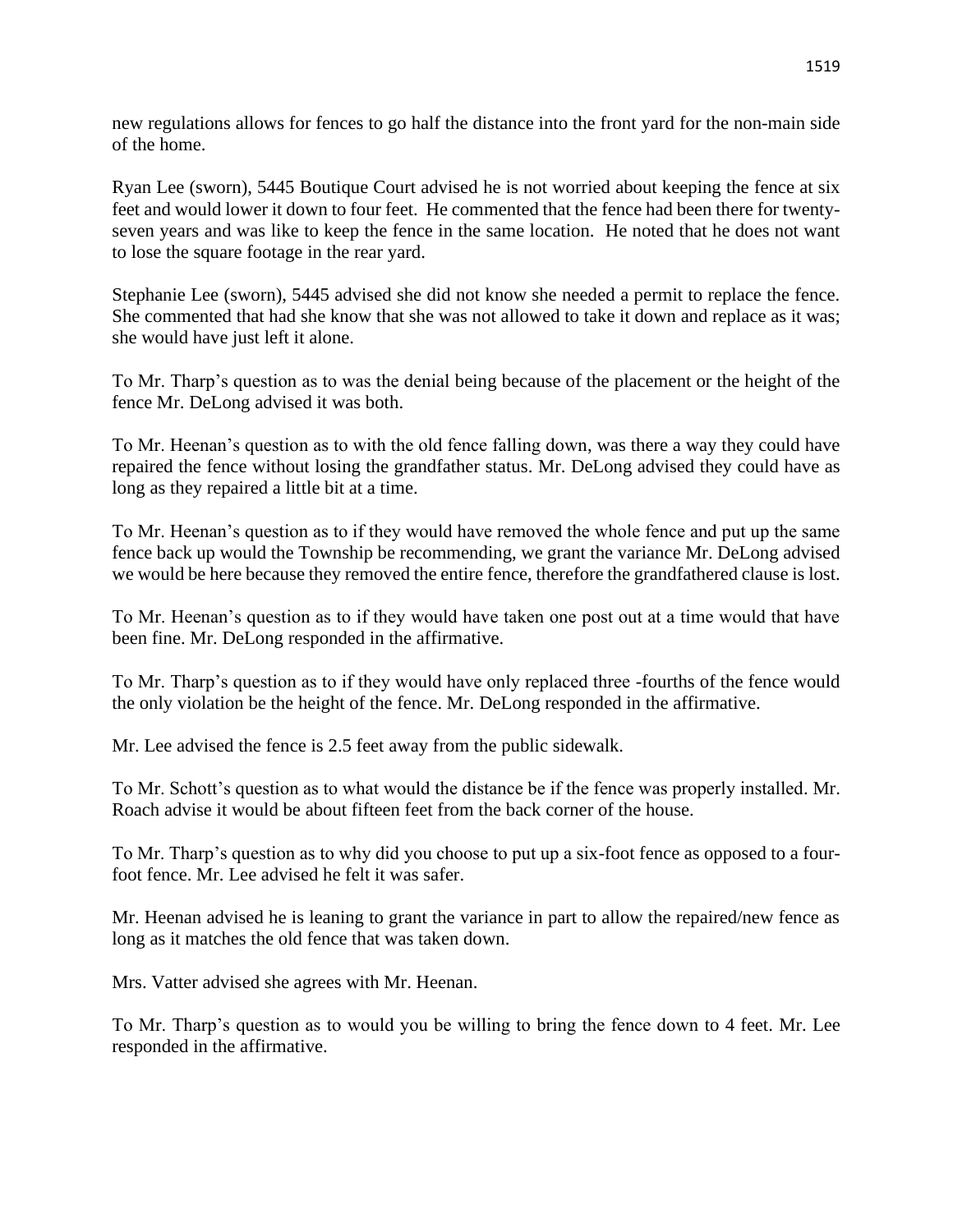new regulations allows for fences to go half the distance into the front yard for the non-main side of the home.

Ryan Lee (sworn), 5445 Boutique Court advised he is not worried about keeping the fence at six feet and would lower it down to four feet. He commented that the fence had been there for twentyseven years and was like to keep the fence in the same location. He noted that he does not want to lose the square footage in the rear yard.

Stephanie Lee (sworn), 5445 advised she did not know she needed a permit to replace the fence. She commented that had she know that she was not allowed to take it down and replace as it was; she would have just left it alone.

To Mr. Tharp's question as to was the denial being because of the placement or the height of the fence Mr. DeLong advised it was both.

To Mr. Heenan's question as to with the old fence falling down, was there a way they could have repaired the fence without losing the grandfather status. Mr. DeLong advised they could have as long as they repaired a little bit at a time.

To Mr. Heenan's question as to if they would have removed the whole fence and put up the same fence back up would the Township be recommending, we grant the variance Mr. DeLong advised we would be here because they removed the entire fence, therefore the grandfathered clause is lost.

To Mr. Heenan's question as to if they would have taken one post out at a time would that have been fine. Mr. DeLong responded in the affirmative.

To Mr. Tharp's question as to if they would have only replaced three -fourths of the fence would the only violation be the height of the fence. Mr. DeLong responded in the affirmative.

Mr. Lee advised the fence is 2.5 feet away from the public sidewalk.

To Mr. Schott's question as to what would the distance be if the fence was properly installed. Mr. Roach advise it would be about fifteen feet from the back corner of the house.

To Mr. Tharp's question as to why did you choose to put up a six-foot fence as opposed to a fourfoot fence. Mr. Lee advised he felt it was safer.

Mr. Heenan advised he is leaning to grant the variance in part to allow the repaired/new fence as long as it matches the old fence that was taken down.

Mrs. Vatter advised she agrees with Mr. Heenan.

To Mr. Tharp's question as to would you be willing to bring the fence down to 4 feet. Mr. Lee responded in the affirmative.